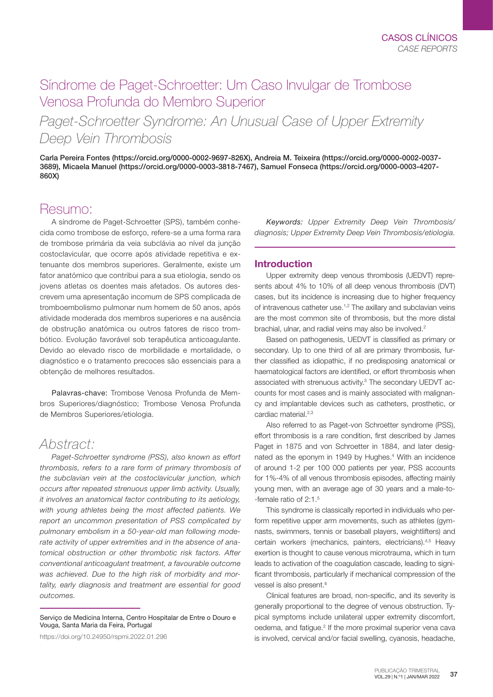# Síndrome de Paget-Schroetter: Um Caso Invulgar de Trombose Venosa Profunda do Membro Superior

*Paget-Schroetter Syndrome: An Unusual Case of Upper Extremity Deep Vein Thrombosis*

Carla Pereira Fontes (https://orcid.org/0000-0002-9697-826X), Andreia M. Teixeira (https://orcid.org/0000-0002-0037- 3689), Micaela Manuel (https://orcid.org/0000-0003-3818-7467), Samuel Fonseca (https://orcid.org/0000-0003-4207- 860X)

# Resumo:

A síndrome de Paget-Schroetter (SPS), também conhecida como trombose de esforco, refere-se a uma forma rara de trombose primária da veia subclávia ao nível da junção costoclavicular, que ocorre após atividade repetitiva e extenuante dos membros superiores. Geralmente, existe um fator anatómico que contribui para a sua etiologia, sendo os jovens atletas os doentes mais afetados. Os autores descrevem uma apresentação incomum de SPS complicada de tromboembolismo pulmonar num homem de 50 anos, após atividade moderada dos membros superiores e na ausência de obstrução anatómica ou outros fatores de risco trombótico. Evolução favorável sob terapêutica anticoagulante. Devido ao elevado risco de morbilidade e mortalidade, o diagnóstico e o tratamento precoces são essenciais para a obtenção de melhores resultados.

Palavras-chave: Trombose Venosa Profunda de Membros Superiores/diagnóstico; Trombose Venosa Profunda de Membros Superiores/etiologia.

# *Abstract:*

*Paget-Schroetter syndrome (PSS), also known as effort thrombosis, refers to a rare form of primary thrombosis of the subclavian vein at the costoclavicular junction, which occurs after repeated strenuous upper limb activity. Usually, it involves an anatomical factor contributing to its aetiology, with young athletes being the most affected patients. We report an uncommon presentation of PSS complicated by pulmonary embolism in a 50-year-old man following moderate activity of upper extremities and in the absence of anatomical obstruction or other thrombotic risk factors. After conventional anticoagulant treatment, a favourable outcome was achieved. Due to the high risk of morbidity and mortality, early diagnosis and treatment are essential for good outcomes.*

Serviço de Medicina Interna, Centro Hospitalar de Entre o Douro e Vouga, Santa Maria da Feira, Portugal

https://doi.org/10.24950/rspmi.2022.01.296

*Keywords: Upper Extremity Deep Vein Thrombosis/ diagnosis; Upper Extremity Deep Vein Thrombosis/etiologia.*

# Introduction

Upper extremity deep venous thrombosis (UEDVT) represents about 4% to 10% of all deep venous thrombosis (DVT) cases, but its incidence is increasing due to higher frequency of intravenous catheter use.<sup>1,2</sup> The axillary and subclavian veins are the most common site of thrombosis, but the more distal brachial, ulnar, and radial veins may also be involved.<sup>2</sup>

Based on pathogenesis, UEDVT is classified as primary or secondary. Up to one third of all are primary thrombosis, further classified as idiopathic, if no predisposing anatomical or haematological factors are identified, or effort thrombosis when associated with strenuous activity.<sup>3</sup> The secondary UEDVT accounts for most cases and is mainly associated with malignancy and implantable devices such as catheters, prosthetic, or cardiac material.<sup>2,3</sup>

Also referred to as Paget-von Schroetter syndrome (PSS), effort thrombosis is a rare condition, first described by James Paget in 1875 and von Schroetter in 1884, and later designated as the eponym in 1949 by Hughes.<sup>4</sup> With an incidence of around 1-2 per 100 000 patients per year, PSS accounts for 1%-4% of all venous thrombosis episodes, affecting mainly young men, with an average age of 30 years and a male-to- -female ratio of 2:1.5

This syndrome is classically reported in individuals who perform repetitive upper arm movements, such as athletes (gymnasts, swimmers, tennis or baseball players, weightlifters) and certain workers (mechanics, painters, electricians).<sup>4,5</sup> Heavy exertion is thought to cause venous microtrauma, which in turn leads to activation of the coagulation cascade, leading to significant thrombosis, particularly if mechanical compression of the vessel is also present.<sup>6</sup>

Clinical features are broad, non-specific, and its severity is generally proportional to the degree of venous obstruction. Typical symptoms include unilateral upper extremity discomfort, oedema, and fatigue.<sup>2</sup> If the more proximal superior vena cava is involved, cervical and/or facial swelling, cyanosis, headache,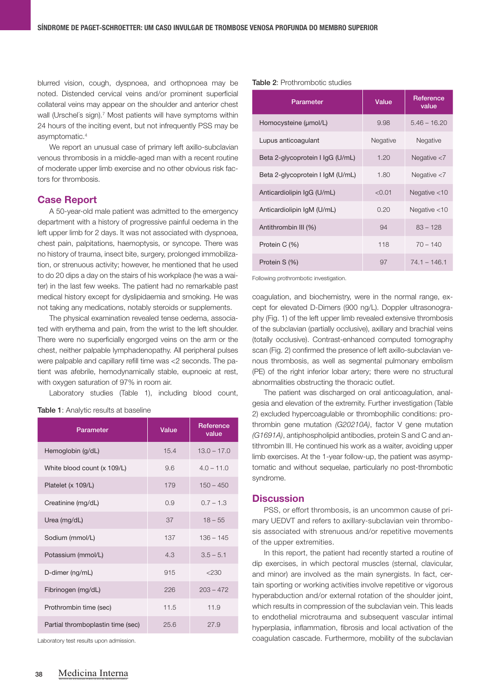blurred vision, cough, dyspnoea, and orthopnoea may be noted. Distended cervical veins and/or prominent superficial collateral veins may appear on the shoulder and anterior chest wall (Urschel's sign).<sup>7</sup> Most patients will have symptoms within 24 hours of the inciting event, but not infrequently PSS may be asymptomatic.4

We report an unusual case of primary left axillo-subclavian venous thrombosis in a middle-aged man with a recent routine of moderate upper limb exercise and no other obvious risk factors for thrombosis.

## Case Report

A 50-year-old male patient was admitted to the emergency department with a history of progressive painful oedema in the left upper limb for 2 days. It was not associated with dyspnoea, chest pain, palpitations, haemoptysis, or syncope. There was no history of trauma, insect bite, surgery, prolonged immobilization, or strenuous activity; however, he mentioned that he used to do 20 dips a day on the stairs of his workplace (he was a waiter) in the last few weeks. The patient had no remarkable past medical history except for dyslipidaemia and smoking. He was not taking any medications, notably steroids or supplements.

The physical examination revealed tense oedema, associated with erythema and pain, from the wrist to the left shoulder. There were no superficially engorged veins on the arm or the chest, neither palpable lymphadenopathy. All peripheral pulses were palpable and capillary refill time was <2 seconds. The patient was afebrile, hemodynamically stable, eupnoeic at rest, with oxygen saturation of 97% in room air.

Laboratory studies (Table 1), including blood count,

Table 1: Analytic results at baseline

| Parameter                         | Value | Reference<br>value |
|-----------------------------------|-------|--------------------|
| Hemoglobin (g/dL)                 | 15.4  | $13.0 - 17.0$      |
| White blood count (x 109/L)       | 9.6   | $4.0 - 11.0$       |
| Platelet (x 109/L)                | 179   | $150 - 450$        |
| Creatinine (mg/dL)                | 0.9   | $0.7 - 1.3$        |
| Urea (mg/dL)                      | 37    | $18 - 55$          |
| Sodium (mmol/L)                   | 137   | $136 - 145$        |
| Potassium (mmol/L)                | 4.3   | $3.5 - 5.1$        |
| D-dimer (ng/mL)                   | 915   | < 230              |
| Fibrinogen (mg/dL)                | 226   | $203 - 472$        |
| Prothrombin time (sec)            | 11.5  | 11.9               |
| Partial thromboplastin time (sec) | 25.6  | 27.9               |

Laboratory test results upon admission.

#### Table 2: Prothrombotic studies

| Parameter                        | Value    | Reference<br>value |
|----------------------------------|----------|--------------------|
| Homocysteine (umol/L)            | 9.98     | $5.46 - 16.20$     |
| Lupus anticoagulant              | Negative | Negative           |
| Beta 2-glycoprotein I IgG (U/mL) | 1.20     | Negative $<$ 7     |
| Beta 2-glycoprotein I IgM (U/mL) | 1.80     | Negative $<$ 7     |
| Anticardiolipin IgG (U/mL)       | < 0.01   | Negative $<$ 10    |
| Anticardiolipin IgM (U/mL)       | 0.20     | Negative $<$ 10    |
| Antithrombin III (%)             | 94       | $83 - 128$         |
| Protein C (%)                    | 118      | $70 - 140$         |
| Protein S (%)                    | 97       | $74.1 - 146.1$     |

Following prothrombotic investigation.

coagulation, and biochemistry, were in the normal range, except for elevated D-Dimers (900 ng/L). Doppler ultrasonography (Fig. 1) of the left upper limb revealed extensive thrombosis of the subclavian (partially occlusive), axillary and brachial veins (totally occlusive). Contrast-enhanced computed tomography scan (Fig. 2) confirmed the presence of left axillo-subclavian venous thrombosis, as well as segmental pulmonary embolism (PE) of the right inferior lobar artery; there were no structural abnormalities obstructing the thoracic outlet.

The patient was discharged on oral anticoagulation, analgesia and elevation of the extremity. Further investigation (Table 2) excluded hypercoagulable or thrombophilic conditions: prothrombin gene mutation *(G20210A)*, factor V gene mutation *(G1691A)*, antiphospholipid antibodies, protein S and C and antithrombin III. He continued his work as a waiter, avoiding upper limb exercises. At the 1-year follow-up, the patient was asymptomatic and without sequelae, particularly no post-thrombotic syndrome.

### **Discussion**

PSS, or effort thrombosis, is an uncommon cause of primary UEDVT and refers to axillary-subclavian vein thrombosis associated with strenuous and/or repetitive movements of the upper extremities.

In this report, the patient had recently started a routine of dip exercises, in which pectoral muscles (sternal, clavicular, and minor) are involved as the main synergists. In fact, certain sporting or working activities involve repetitive or vigorous hyperabduction and/or external rotation of the shoulder joint, which results in compression of the subclavian vein. This leads to endothelial microtrauma and subsequent vascular intimal hyperplasia, inflammation, fibrosis and local activation of the coagulation cascade. Furthermore, mobility of the subclavian

REVISTA DA SOCIEDADE PORTUGUESA DE MEDICINA INTERNA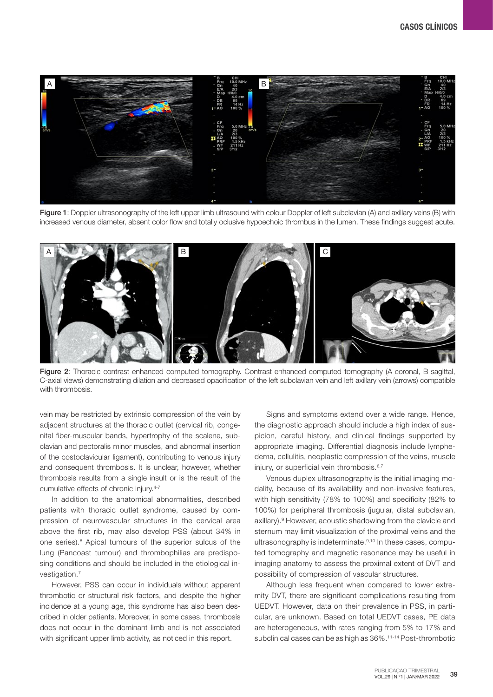

Figure 1: Doppler ultrasonography of the left upper limb ultrasound with colour Doppler of left subclavian (A) and axillary veins (B) with increased venous diameter, absent color flow and totally oclusive hypoechoic thrombus in the lumen. These findings suggest acute.



Figure 2: Thoracic contrast-enhanced computed tomography. Contrast-enhanced computed tomography (A-coronal, B-sagittal, C-axial views) demonstrating dilation and decreased opacification of the left subclavian vein and left axillary vein (arrows) compatible with thrombosis.

vein may be restricted by extrinsic compression of the vein by adjacent structures at the thoracic outlet (cervical rib, congenital fiber-muscular bands, hypertrophy of the scalene, subclavian and pectoralis minor muscles, and abnormal insertion of the costoclavicular ligament), contributing to venous injury and consequent thrombosis. It is unclear, however, whether thrombosis results from a single insult or is the result of the cumulative effects of chronic injury.4-7

In addition to the anatomical abnormalities, described patients with thoracic outlet syndrome, caused by compression of neurovascular structures in the cervical area above the first rib, may also develop PSS (about 34% in one series).<sup>8</sup> Apical tumours of the superior sulcus of the lung (Pancoast tumour) and thrombophilias are predisposing conditions and should be included in the etiological investigation.7

However, PSS can occur in individuals without apparent thrombotic or structural risk factors, and despite the higher incidence at a young age, this syndrome has also been described in older patients. Moreover, in some cases, thrombosis does not occur in the dominant limb and is not associated with significant upper limb activity, as noticed in this report.

Signs and symptoms extend over a wide range. Hence, the diagnostic approach should include a high index of suspicion, careful history, and clinical findings supported by appropriate imaging. Differential diagnosis include lymphedema, cellulitis, neoplastic compression of the veins, muscle injury, or superficial vein thrombosis.<sup>6,7</sup>

Venous duplex ultrasonography is the initial imaging modality, because of its availability and non-invasive features, with high sensitivity (78% to 100%) and specificity (82% to 100%) for peripheral thrombosis (jugular, distal subclavian, axillary).<sup>9</sup> However, acoustic shadowing from the clavicle and sternum may limit visualization of the proximal veins and the ultrasonography is indeterminate.<sup>9,10</sup> In these cases, computed tomography and magnetic resonance may be useful in imaging anatomy to assess the proximal extent of DVT and possibility of compression of vascular structures.

Although less frequent when compared to lower extremity DVT, there are significant complications resulting from UEDVT. However, data on their prevalence in PSS, in particular, are unknown. Based on total UEDVT cases, PE data are heterogeneous, with rates ranging from 5% to 17% and subclinical cases can be as high as 36%.11-14 Post-thrombotic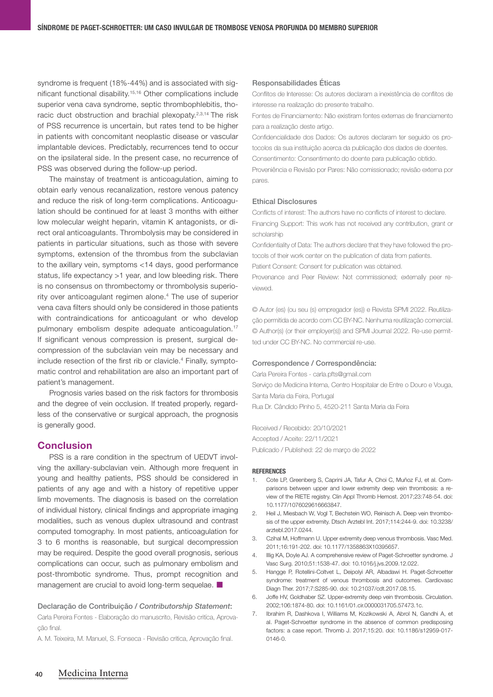syndrome is frequent (18%-44%) and is associated with significant functional disability.15,16 Other complications include superior vena cava syndrome, septic thrombophlebitis, thoracic duct obstruction and brachial plexopaty.<sup>2,3,14</sup> The risk of PSS recurrence is uncertain, but rates tend to be higher in patients with concomitant neoplastic disease or vascular implantable devices. Predictably, recurrences tend to occur on the ipsilateral side. In the present case, no recurrence of PSS was observed during the follow-up period.

The mainstay of treatment is anticoagulation, aiming to obtain early venous recanalization, restore venous patency and reduce the risk of long-term complications. Anticoagulation should be continued for at least 3 months with either low molecular weight heparin, vitamin K antagonists, or direct oral anticoagulants. Thrombolysis may be considered in patients in particular situations, such as those with severe symptoms, extension of the thrombus from the subclavian to the axillary vein, symptoms <14 days, good performance status, life expectancy >1 year, and low bleeding risk. There is no consensus on thrombectomy or thrombolysis superiority over anticoagulant regimen alone.4 The use of superior vena cava filters should only be considered in those patients with contraindications for anticoagulant or who develop pulmonary embolism despite adequate anticoagulation.<sup>17</sup> If significant venous compression is present, surgical decompression of the subclavian vein may be necessary and include resection of the first rib or clavicle.4 Finally, symptomatic control and rehabilitation are also an important part of patient's management.

Prognosis varies based on the risk factors for thrombosis and the degree of vein occlusion. If treated properly, regardless of the conservative or surgical approach, the prognosis is generally good.

## **Conclusion**

PSS is a rare condition in the spectrum of UEDVT involving the axillary-subclavian vein. Although more frequent in young and healthy patients, PSS should be considered in patients of any age and with a history of repetitive upper limb movements. The diagnosis is based on the correlation of individual history, clinical findings and appropriate imaging modalities, such as venous duplex ultrasound and contrast computed tomography. In most patients, anticoagulation for 3 to 6 months is reasonable, but surgical decompression may be required. Despite the good overall prognosis, serious complications can occur, such as pulmonary embolism and post-thrombotic syndrome. Thus, prompt recognition and management are crucial to avoid long-term sequelae.

# Declaração de Contribuição / *Contributorship Statement*: Carla Pereira Fontes - Elaboração do manuscrito, Revisão critíca, Aprovação final.

A. M. Teixeira, M. Manuel, S. Fonseca - Revisão critica, Aprovação final.

#### Responsabilidades Éticas

Conflitos de Interesse: Os autores declaram a inexistência de conflitos de interesse na realização do presente trabalho.

Fontes de Financiamento: Não existiram fontes externas de financiamento para a realização deste artigo.

Confidencialidade dos Dados: Os autores declaram ter seguido os protocolos da sua instituição acerca da publicação dos dados de doentes.

Consentimento: Consentimento do doente para publicação obtido. Proveniência e Revisão por Pares: Não comissionado; revisão externa por

pares.

#### Ethical Disclosures

Conflicts of interest: The authors have no conflicts of interest to declare. Financing Support: This work has not received any contribution, grant or scholarship

Confidentiality of Data: The authors declare that they have followed the protocols of their work center on the publication of data from patients.

Patient Consent: Consent for publication was obtained.

Provenance and Peer Review: Not commissioned; externally peer reviewed.

© Autor (es) (ou seu (s) empregador (es)) e Revista SPMI 2022. Reutilização permitida de acordo com CC BY-NC. Nenhuma reutilização comercial. © Author(s) (or their employer(s)) and SPMI Journal 2022. Re-use permitted under CC BY-NC. No commercial re-use.

#### Correspondence / Correspondência:

Carla Pereira Fontes - carla.pfts@gmail.com Serviço de Medicina Interna, Centro Hospitalar de Entre o Douro e Vouga, Santa Maria da Feira, Portugal Rua Dr. Cândido Pinho 5, 4520-211 Santa Maria da Feira

Received / Recebido: 20/10/2021 Accepted / Aceite: 22/11/2021 Publicado / Published: 22 de março de 2022

#### **REFERENCES**

- 1. Cote LP, Greenberg S, Caprini JA, Tafur A, Choi C, Muñoz FJ, et al. Comparisons between upper and lower extremity deep vein thrombosis: a review of the RIETE registry. Clin Appl Thromb Hemost. 2017;23:748-54. doi: 10.1177/1076029616663847.
- 2. Heil J, Miesbach W, Vogl T, Bechstein WO, Reinisch A. Deep vein thrombosis of the upper extremity. Dtsch Arztebl Int. 2017;114:244-9. doi: 10.3238/ arztebl.2017.0244.
- 3. Czihal M, Hoffmann U. Upper extremity deep venous thrombosis. Vasc Med. 2011;16:191-202. doi: 10.1177/1358863X10395657.
- 4. Illig KA, Doyle AJ. A comprehensive review of Paget-Schroetter syndrome. J Vasc Surg. 2010;51:1538-47. doi: 10.1016/j.jvs.2009.12.022.
- 5. Hangge P, Rotellini-Coltvet L, Deipolyi AR, Albadawi H. Paget-Schroetter syndrome: treatment of venous thrombosis and outcomes. Cardiovasc Diagn Ther. 2017;7:S285-90. doi: 10.21037/cdt.2017.08.15.
- 6. Joffe HV, Goldhaber SZ. Upper-extremity deep vein thrombosis. Circulation. 2002;106:1874-80. doi: 10.1161/01.cir.0000031705.57473.1c.
- 7. Ibrahim R, Dashkova I, Williams M, Kozikowski A, Abrol N, Gandhi A, et al. Paget-Schroetter syndrome in the absence of common predisposing factors: a case report. Thromb J. 2017;15:20. doi: 10.1186/s12959-017- 0146-0.